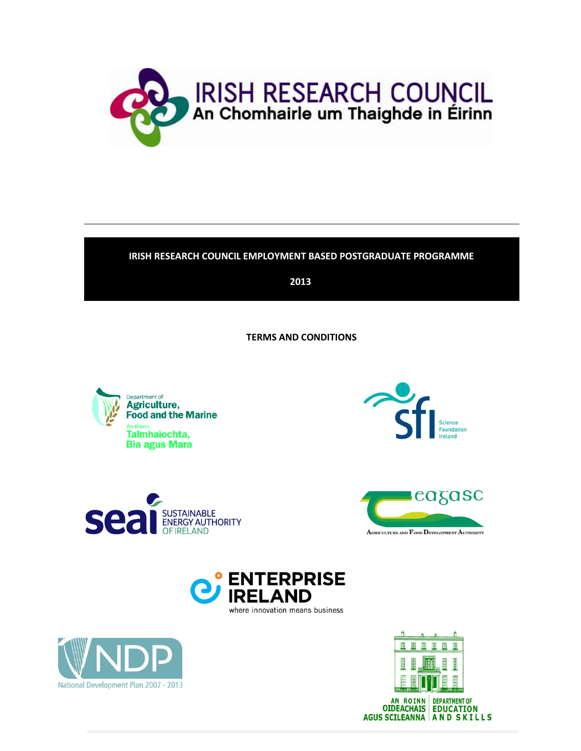

# **IRISH RESEARCH COUNCIL EMPLOYMENT BASED POSTGRADUATE PROGRAMME**

**2013**

**TERMS AND CONDITIONS**













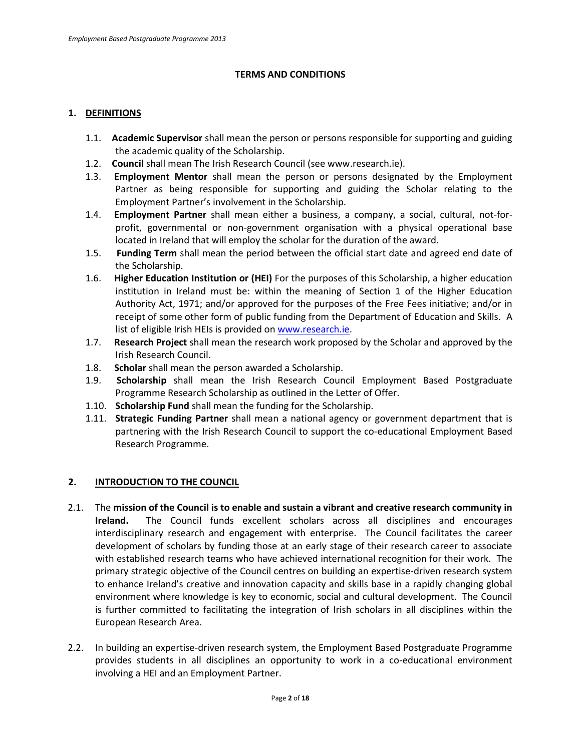## **TERMS AND CONDITIONS**

## **1. DEFINITIONS**

- 1.1. **Academic Supervisor** shall mean the person or persons responsible for supporting and guiding the academic quality of the Scholarship.
- 1.2. **Council** shall mean The Irish Research Council (see www.research.ie).
- 1.3. **Employment Mentor** shall mean the person or persons designated by the Employment Partner as being responsible for supporting and guiding the Scholar relating to the Employment Partner's involvement in the Scholarship.
- 1.4. **Employment Partner** shall mean either a business, a company, a social, cultural, not-forprofit, governmental or non-government organisation with a physical operational base located in Ireland that will employ the scholar for the duration of the award.
- 1.5. **Funding Term** shall mean the period between the official start date and agreed end date of the Scholarship.
- 1.6. **Higher Education Institution or (HEI)** For the purposes of this Scholarship, a higher education institution in Ireland must be: within the meaning of Section 1 of the Higher Education Authority Act, 1971; and/or approved for the purposes of the Free Fees initiative; and/or in receipt of some other form of public funding from the Department of Education and Skills. A list of eligible Irish HEIs is provided o[n www.research.ie.](http://www.research.ie/)
- 1.7. **Research Project** shall mean the research work proposed by the Scholar and approved by the Irish Research Council.
- 1.8. **Scholar** shall mean the person awarded a Scholarship.
- 1.9. **Scholarship** shall mean the Irish Research Council Employment Based Postgraduate Programme Research Scholarship as outlined in the Letter of Offer.
- 1.10. **Scholarship Fund** shall mean the funding for the Scholarship.
- 1.11. **Strategic Funding Partner** shall mean a national agency or government department that is partnering with the Irish Research Council to support the co-educational Employment Based Research Programme.

## **2. INTRODUCTION TO THE COUNCIL**

- 2.1. The **mission of the Council is to enable and sustain a vibrant and creative research community in Ireland.** The Council funds excellent scholars across all disciplines and encourages interdisciplinary research and engagement with enterprise. The Council facilitates the career development of scholars by funding those at an early stage of their research career to associate with established research teams who have achieved international recognition for their work. The primary strategic objective of the Council centres on building an expertise-driven research system to enhance Ireland's creative and innovation capacity and skills base in a rapidly changing global environment where knowledge is key to economic, social and cultural development. The Council is further committed to facilitating the integration of Irish scholars in all disciplines within the European Research Area.
- 2.2. In building an expertise-driven research system, the Employment Based Postgraduate Programme provides students in all disciplines an opportunity to work in a co-educational environment involving a HEI and an Employment Partner.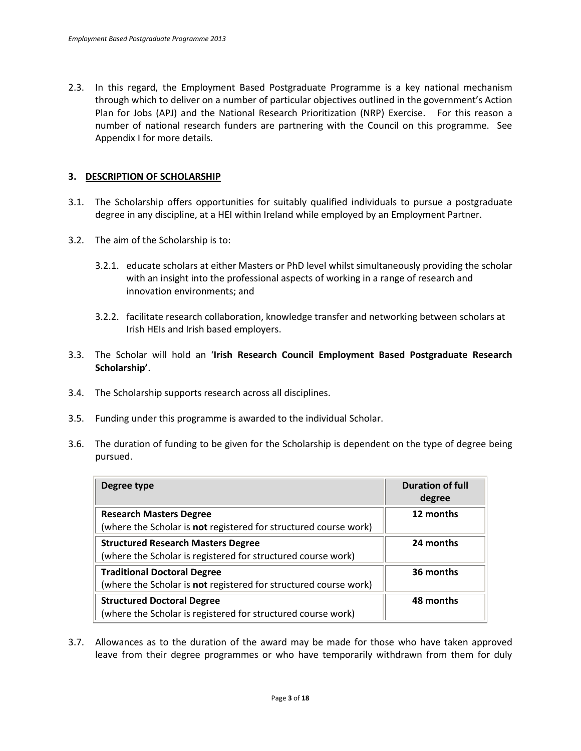2.3. In this regard, the Employment Based Postgraduate Programme is a key national mechanism through which to deliver on a number of particular objectives outlined in the government's Action Plan for Jobs (APJ) and the National Research Prioritization (NRP) Exercise. For this reason a number of national research funders are partnering with the Council on this programme. See Appendix I for more details.

## **3. DESCRIPTION OF SCHOLARSHIP**

- 3.1. The Scholarship offers opportunities for suitably qualified individuals to pursue a postgraduate degree in any discipline, at a HEI within Ireland while employed by an Employment Partner.
- 3.2. The aim of the Scholarship is to:
	- 3.2.1. educate scholars at either Masters or PhD level whilst simultaneously providing the scholar with an insight into the professional aspects of working in a range of research and innovation environments; and
	- 3.2.2. facilitate research collaboration, knowledge transfer and networking between scholars at Irish HEIs and Irish based employers.
- 3.3. The Scholar will hold an '**Irish Research Council Employment Based Postgraduate Research Scholarship'**.
- 3.4. The Scholarship supports research across all disciplines.
- 3.5. Funding under this programme is awarded to the individual Scholar.
- 3.6. The duration of funding to be given for the Scholarship is dependent on the type of degree being pursued.

| Degree type                                                                                                   | <b>Duration of full</b><br>degree |
|---------------------------------------------------------------------------------------------------------------|-----------------------------------|
| <b>Research Masters Degree</b><br>(where the Scholar is not registered for structured course work)            | 12 months                         |
| <b>Structured Research Masters Degree</b><br>(where the Scholar is registered for structured course work)     | 24 months                         |
| <b>Traditional Doctoral Degree</b><br>(where the Scholar is <b>not</b> registered for structured course work) | 36 months                         |
| <b>Structured Doctoral Degree</b><br>(where the Scholar is registered for structured course work)             | 48 months                         |

3.7. Allowances as to the duration of the award may be made for those who have taken approved leave from their degree programmes or who have temporarily withdrawn from them for duly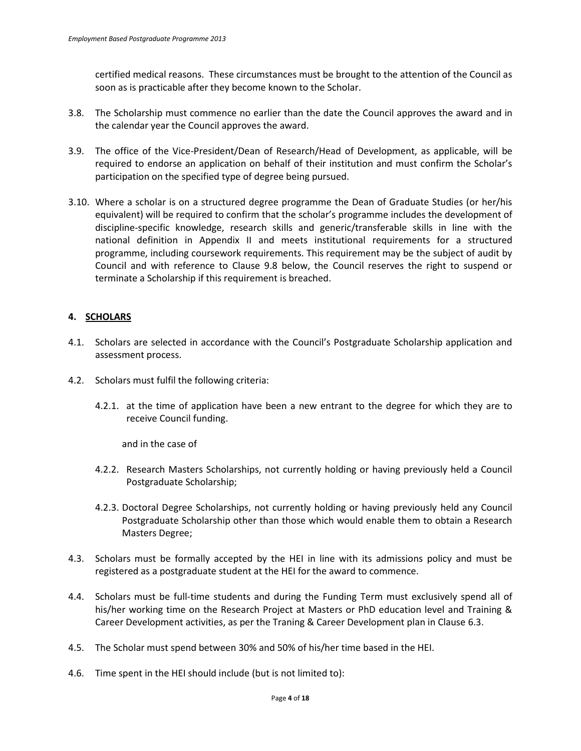certified medical reasons. These circumstances must be brought to the attention of the Council as soon as is practicable after they become known to the Scholar.

- 3.8. The Scholarship must commence no earlier than the date the Council approves the award and in the calendar year the Council approves the award.
- 3.9. The office of the Vice-President/Dean of Research/Head of Development, as applicable, will be required to endorse an application on behalf of their institution and must confirm the Scholar's participation on the specified type of degree being pursued.
- 3.10. Where a scholar is on a structured degree programme the Dean of Graduate Studies (or her/his equivalent) will be required to confirm that the scholar's programme includes the development of discipline-specific knowledge, research skills and generic/transferable skills in line with the national definition in Appendix II and meets institutional requirements for a structured programme, including coursework requirements. This requirement may be the subject of audit by Council and with reference to Clause 9.8 below, the Council reserves the right to suspend or terminate a Scholarship if this requirement is breached.

# **4. SCHOLARS**

- 4.1. Scholars are selected in accordance with the Council's Postgraduate Scholarship application and assessment process.
- 4.2. Scholars must fulfil the following criteria:
	- 4.2.1. at the time of application have been a new entrant to the degree for which they are to receive Council funding.

and in the case of

- 4.2.2. Research Masters Scholarships, not currently holding or having previously held a Council Postgraduate Scholarship;
- 4.2.3. Doctoral Degree Scholarships, not currently holding or having previously held any Council Postgraduate Scholarship other than those which would enable them to obtain a Research Masters Degree;
- 4.3. Scholars must be formally accepted by the HEI in line with its admissions policy and must be registered as a postgraduate student at the HEI for the award to commence.
- 4.4. Scholars must be full-time students and during the Funding Term must exclusively spend all of his/her working time on the Research Project at Masters or PhD education level and Training & Career Development activities, as per the Traning & Career Development plan in Clause 6.3.
- 4.5. The Scholar must spend between 30% and 50% of his/her time based in the HEI.
- 4.6. Time spent in the HEI should include (but is not limited to):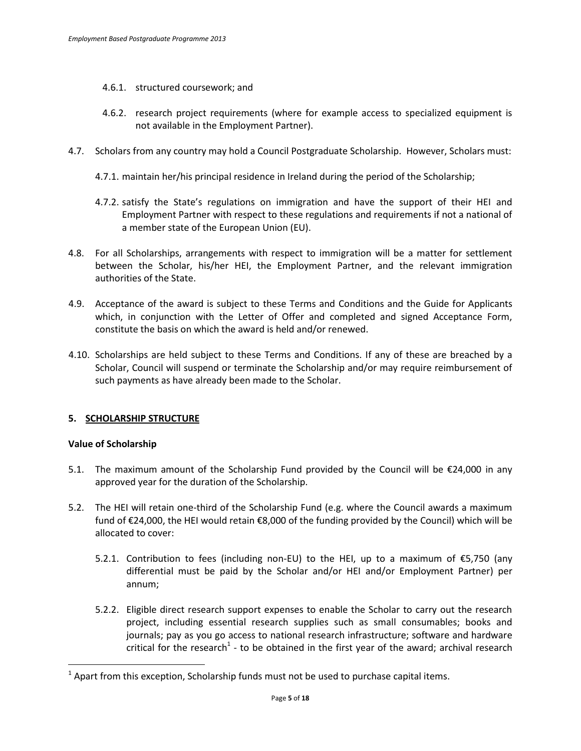- 4.6.1. structured coursework; and
- 4.6.2. research project requirements (where for example access to specialized equipment is not available in the Employment Partner).
- 4.7. Scholars from any country may hold a Council Postgraduate Scholarship. However, Scholars must:
	- 4.7.1. maintain her/his principal residence in Ireland during the period of the Scholarship;
	- 4.7.2. satisfy the State's regulations on immigration and have the support of their HEI and Employment Partner with respect to these regulations and requirements if not a national of a member state of the European Union (EU).
- 4.8. For all Scholarships, arrangements with respect to immigration will be a matter for settlement between the Scholar, his/her HEI, the Employment Partner, and the relevant immigration authorities of the State.
- 4.9. Acceptance of the award is subject to these Terms and Conditions and the Guide for Applicants which, in conjunction with the Letter of Offer and completed and signed Acceptance Form, constitute the basis on which the award is held and/or renewed.
- 4.10. Scholarships are held subject to these Terms and Conditions. If any of these are breached by a Scholar, Council will suspend or terminate the Scholarship and/or may require reimbursement of such payments as have already been made to the Scholar.

## **5. SCHOLARSHIP STRUCTURE**

## **Value of Scholarship**

 $\overline{a}$ 

- 5.1. The maximum amount of the Scholarship Fund provided by the Council will be €24,000 in any approved year for the duration of the Scholarship.
- 5.2. The HEI will retain one-third of the Scholarship Fund (e.g. where the Council awards a maximum fund of €24,000, the HEI would retain €8,000 of the funding provided by the Council) which will be allocated to cover:
	- 5.2.1. Contribution to fees (including non-EU) to the HEI, up to a maximum of €5,750 (any differential must be paid by the Scholar and/or HEI and/or Employment Partner) per annum;
	- 5.2.2. Eligible direct research support expenses to enable the Scholar to carry out the research project, including essential research supplies such as small consumables; books and journals; pay as you go access to national research infrastructure; software and hardware critical for the research<sup>1</sup> - to be obtained in the first year of the award; archival research

 $<sup>1</sup>$  Apart from this exception, Scholarship funds must not be used to purchase capital items.</sup>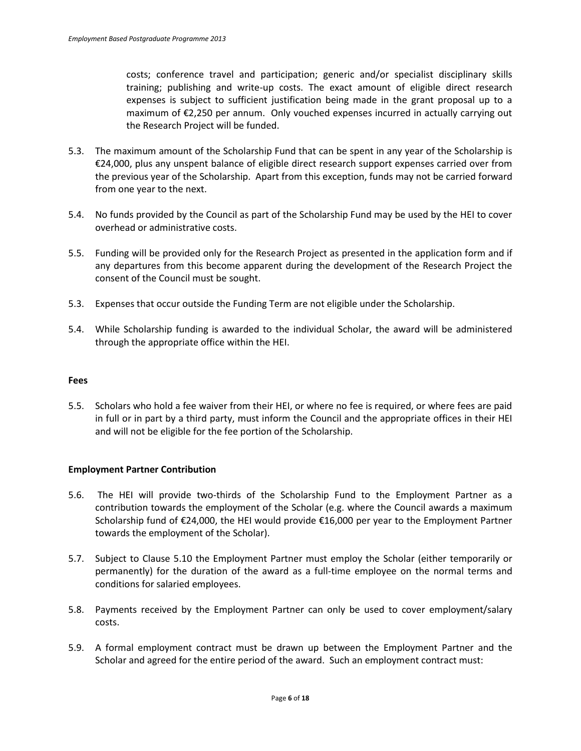costs; conference travel and participation; generic and/or specialist disciplinary skills training; publishing and write-up costs. The exact amount of eligible direct research expenses is subject to sufficient justification being made in the grant proposal up to a maximum of €2,250 per annum. Only vouched expenses incurred in actually carrying out the Research Project will be funded.

- 5.3. The maximum amount of the Scholarship Fund that can be spent in any year of the Scholarship is €24,000, plus any unspent balance of eligible direct research support expenses carried over from the previous year of the Scholarship. Apart from this exception, funds may not be carried forward from one year to the next.
- 5.4. No funds provided by the Council as part of the Scholarship Fund may be used by the HEI to cover overhead or administrative costs.
- 5.5. Funding will be provided only for the Research Project as presented in the application form and if any departures from this become apparent during the development of the Research Project the consent of the Council must be sought.
- 5.3. Expenses that occur outside the Funding Term are not eligible under the Scholarship.
- 5.4. While Scholarship funding is awarded to the individual Scholar, the award will be administered through the appropriate office within the HEI.

### **Fees**

5.5. Scholars who hold a fee waiver from their HEI, or where no fee is required, or where fees are paid in full or in part by a third party, must inform the Council and the appropriate offices in their HEI and will not be eligible for the fee portion of the Scholarship.

## **Employment Partner Contribution**

- 5.6. The HEI will provide two-thirds of the Scholarship Fund to the Employment Partner as a contribution towards the employment of the Scholar (e.g. where the Council awards a maximum Scholarship fund of €24,000, the HEI would provide €16,000 per year to the Employment Partner towards the employment of the Scholar).
- 5.7. Subject to Clause 5.10 the Employment Partner must employ the Scholar (either temporarily or permanently) for the duration of the award as a full-time employee on the normal terms and conditions for salaried employees.
- 5.8. Payments received by the Employment Partner can only be used to cover employment/salary costs.
- 5.9. A formal employment contract must be drawn up between the Employment Partner and the Scholar and agreed for the entire period of the award. Such an employment contract must: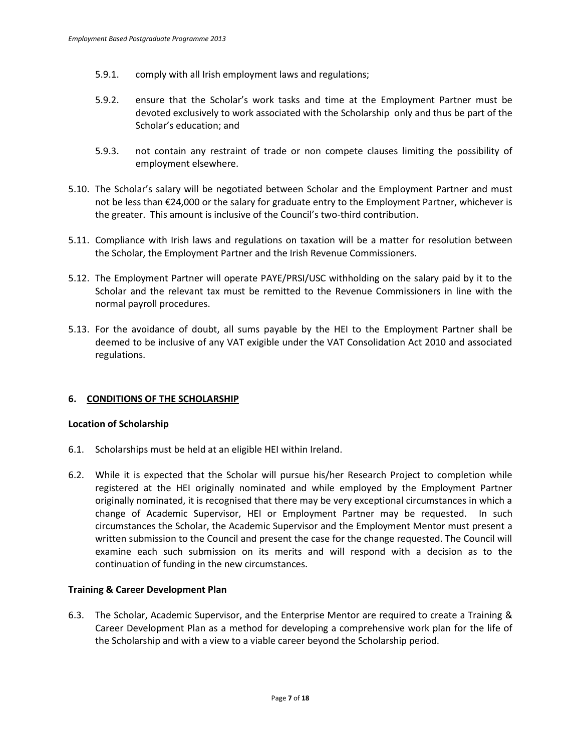- 5.9.1. comply with all Irish employment laws and regulations;
- 5.9.2. ensure that the Scholar's work tasks and time at the Employment Partner must be devoted exclusively to work associated with the Scholarship only and thus be part of the Scholar's education; and
- 5.9.3. not contain any restraint of trade or non compete clauses limiting the possibility of employment elsewhere.
- 5.10. The Scholar's salary will be negotiated between Scholar and the Employment Partner and must not be less than €24,000 or the salary for graduate entry to the Employment Partner, whichever is the greater. This amount is inclusive of the Council's two-third contribution.
- 5.11. Compliance with Irish laws and regulations on taxation will be a matter for resolution between the Scholar, the Employment Partner and the Irish Revenue Commissioners.
- 5.12. The Employment Partner will operate PAYE/PRSI/USC withholding on the salary paid by it to the Scholar and the relevant tax must be remitted to the Revenue Commissioners in line with the normal payroll procedures.
- 5.13. For the avoidance of doubt, all sums payable by the HEI to the Employment Partner shall be deemed to be inclusive of any VAT exigible under the VAT Consolidation Act 2010 and associated regulations.

## **6. CONDITIONS OF THE SCHOLARSHIP**

### **Location of Scholarship**

- 6.1. Scholarships must be held at an eligible HEI within Ireland.
- 6.2. While it is expected that the Scholar will pursue his/her Research Project to completion while registered at the HEI originally nominated and while employed by the Employment Partner originally nominated, it is recognised that there may be very exceptional circumstances in which a change of Academic Supervisor, HEI or Employment Partner may be requested. In such circumstances the Scholar, the Academic Supervisor and the Employment Mentor must present a written submission to the Council and present the case for the change requested. The Council will examine each such submission on its merits and will respond with a decision as to the continuation of funding in the new circumstances.

### **Training & Career Development Plan**

6.3. The Scholar, Academic Supervisor, and the Enterprise Mentor are required to create a Training & Career Development Plan as a method for developing a comprehensive work plan for the life of the Scholarship and with a view to a viable career beyond the Scholarship period.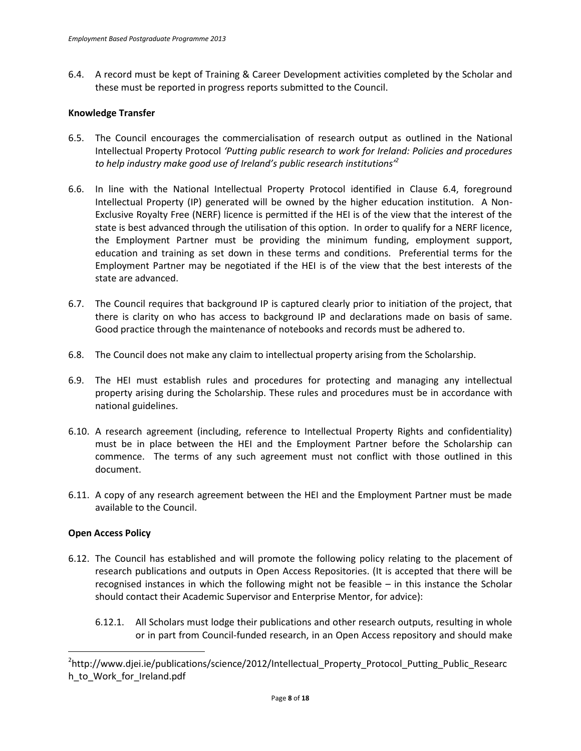6.4. A record must be kept of Training & Career Development activities completed by the Scholar and these must be reported in progress reports submitted to the Council.

### **Knowledge Transfer**

- 6.5. The Council encourages the commercialisation of research output as outlined in the National Intellectual Property Protocol *'Putting public research to work for Ireland: Policies and procedures to help industry make good use of Ireland's public research institutions'<sup>2</sup>*
- 6.6. In line with the National Intellectual Property Protocol identified in Clause 6.4, foreground Intellectual Property (IP) generated will be owned by the higher education institution. A Non-Exclusive Royalty Free (NERF) licence is permitted if the HEI is of the view that the interest of the state is best advanced through the utilisation of this option. In order to qualify for a NERF licence, the Employment Partner must be providing the minimum funding, employment support, education and training as set down in these terms and conditions. Preferential terms for the Employment Partner may be negotiated if the HEI is of the view that the best interests of the state are advanced.
- 6.7. The Council requires that background IP is captured clearly prior to initiation of the project, that there is clarity on who has access to background IP and declarations made on basis of same. Good practice through the maintenance of notebooks and records must be adhered to.
- 6.8. The Council does not make any claim to intellectual property arising from the Scholarship.
- 6.9. The HEI must establish rules and procedures for protecting and managing any intellectual property arising during the Scholarship. These rules and procedures must be in accordance with national guidelines.
- 6.10. A research agreement (including, reference to Intellectual Property Rights and confidentiality) must be in place between the HEI and the Employment Partner before the Scholarship can commence. The terms of any such agreement must not conflict with those outlined in this document.
- 6.11. A copy of any research agreement between the HEI and the Employment Partner must be made available to the Council.

## **Open Access Policy**

 $\overline{a}$ 

- 6.12. The Council has established and will promote the following policy relating to the placement of research publications and outputs in Open Access Repositories. (It is accepted that there will be recognised instances in which the following might not be feasible – in this instance the Scholar should contact their Academic Supervisor and Enterprise Mentor, for advice):
	- 6.12.1. All Scholars must lodge their publications and other research outputs, resulting in whole or in part from Council-funded research, in an Open Access repository and should make

<sup>2</sup> http://www.djei.ie/publications/science/2012/Intellectual\_Property\_Protocol\_Putting\_Public\_Researc h\_to\_Work\_for\_Ireland.pdf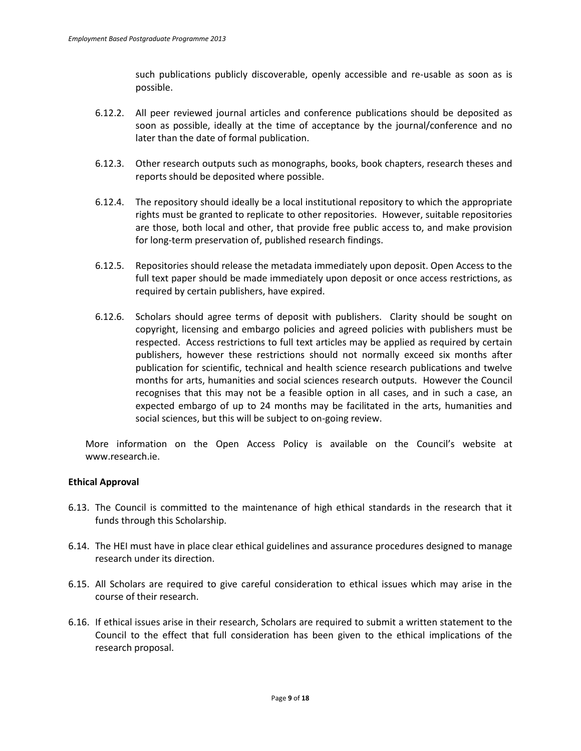such publications publicly discoverable, openly accessible and re-usable as soon as is possible.

- 6.12.2. All peer reviewed journal articles and conference publications should be deposited as soon as possible, ideally at the time of acceptance by the journal/conference and no later than the date of formal publication.
- 6.12.3. Other research outputs such as monographs, books, book chapters, research theses and reports should be deposited where possible.
- 6.12.4. The repository should ideally be a local institutional repository to which the appropriate rights must be granted to replicate to other repositories. However, suitable repositories are those, both local and other, that provide free public access to, and make provision for long-term preservation of, published research findings.
- 6.12.5. Repositories should release the metadata immediately upon deposit. Open Access to the full text paper should be made immediately upon deposit or once access restrictions, as required by certain publishers, have expired.
- 6.12.6. Scholars should agree terms of deposit with publishers. Clarity should be sought on copyright, licensing and embargo policies and agreed policies with publishers must be respected. Access restrictions to full text articles may be applied as required by certain publishers, however these restrictions should not normally exceed six months after publication for scientific, technical and health science research publications and twelve months for arts, humanities and social sciences research outputs. However the Council recognises that this may not be a feasible option in all cases, and in such a case, an expected embargo of up to 24 months may be facilitated in the arts, humanities and social sciences, but this will be subject to on-going review.

More information on the Open Access Policy is available on the Council's website at www.research.ie.

## **Ethical Approval**

- 6.13. The Council is committed to the maintenance of high ethical standards in the research that it funds through this Scholarship.
- 6.14. The HEI must have in place clear ethical guidelines and assurance procedures designed to manage research under its direction.
- 6.15. All Scholars are required to give careful consideration to ethical issues which may arise in the course of their research.
- 6.16. If ethical issues arise in their research, Scholars are required to submit a written statement to the Council to the effect that full consideration has been given to the ethical implications of the research proposal.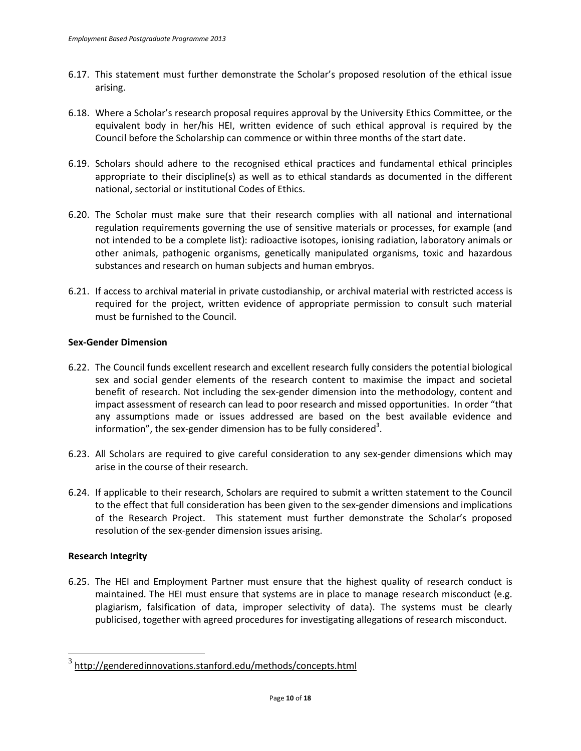- 6.17. This statement must further demonstrate the Scholar's proposed resolution of the ethical issue arising.
- 6.18. Where a Scholar's research proposal requires approval by the University Ethics Committee, or the equivalent body in her/his HEI, written evidence of such ethical approval is required by the Council before the Scholarship can commence or within three months of the start date.
- 6.19. Scholars should adhere to the recognised ethical practices and fundamental ethical principles appropriate to their discipline(s) as well as to ethical standards as documented in the different national, sectorial or institutional Codes of Ethics.
- 6.20. The Scholar must make sure that their research complies with all national and international regulation requirements governing the use of sensitive materials or processes, for example (and not intended to be a complete list): radioactive isotopes, ionising radiation, laboratory animals or other animals, pathogenic organisms, genetically manipulated organisms, toxic and hazardous substances and research on human subjects and human embryos.
- 6.21. If access to archival material in private custodianship, or archival material with restricted access is required for the project, written evidence of appropriate permission to consult such material must be furnished to the Council.

## **Sex-Gender Dimension**

- 6.22. The Council funds excellent research and excellent research fully considers the potential biological sex and social gender elements of the research content to maximise the impact and societal benefit of research. Not including the sex-gender dimension into the methodology, content and impact assessment of research can lead to poor research and missed opportunities. In order "that any assumptions made or issues addressed are based on the best available evidence and information", the sex-gender dimension has to be fully considered<sup>3</sup>.
- 6.23. All Scholars are required to give careful consideration to any sex-gender dimensions which may arise in the course of their research.
- 6.24. If applicable to their research, Scholars are required to submit a written statement to the Council to the effect that full consideration has been given to the sex-gender dimensions and implications of the Research Project. This statement must further demonstrate the Scholar's proposed resolution of the sex-gender dimension issues arising.

## **Research Integrity**

6.25. The HEI and Employment Partner must ensure that the highest quality of research conduct is maintained. The HEI must ensure that systems are in place to manage research misconduct (e.g. plagiarism, falsification of data, improper selectivity of data). The systems must be clearly publicised, together with agreed procedures for investigating allegations of research misconduct.

 3 <http://genderedinnovations.stanford.edu/methods/concepts.html>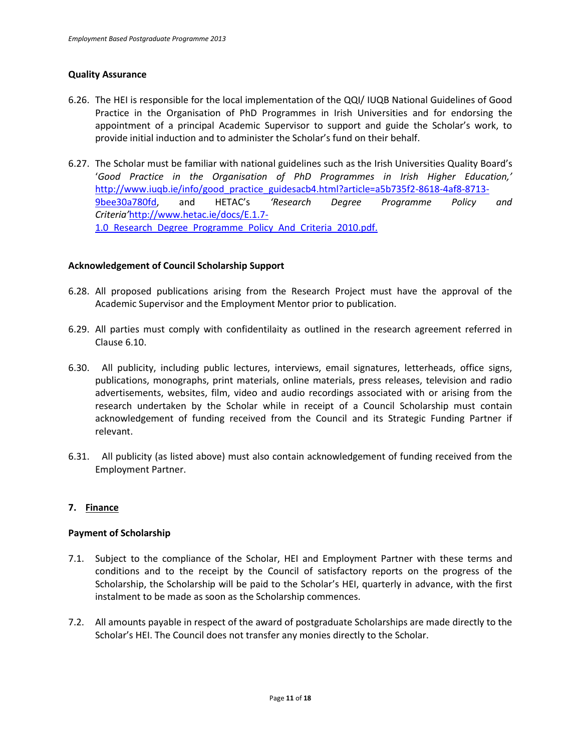### **Quality Assurance**

- 6.26. The HEI is responsible for the local implementation of the QQI/ IUQB National Guidelines of Good Practice in the Organisation of PhD Programmes in Irish Universities and for endorsing the appointment of a principal Academic Supervisor to support and guide the Scholar's work, to provide initial induction and to administer the Scholar's fund on their behalf.
- 6.27. The Scholar must be familiar with national guidelines such as the Irish Universities Quality Board's '*Good Practice in the Organisation of PhD Programmes in Irish Higher Education,'*  [http://www.iuqb.ie/info/good\\_practice\\_guidesacb4.html?article=a5b735f2-8618-4af8-8713-](http://www.iuqb.ie/info/good_practice_guidesacb4.html?article=a5b735f2-8618-4af8-8713-9bee30a780fd) [9bee30a780fd](http://www.iuqb.ie/info/good_practice_guidesacb4.html?article=a5b735f2-8618-4af8-8713-9bee30a780fd), and HETAC's *'Research Degree Programme Policy and Criteria'*[http://www.hetac.ie/docs/E.1.7-](http://www.hetac.ie/docs/E.1.7-1.0_Research_Degree_Programme_Policy_And_Criteria_2010.pdf) 1.0 Research Degree Programme Policy And Criteria 2010.pdf.

### **Acknowledgement of Council Scholarship Support**

- 6.28. All proposed publications arising from the Research Project must have the approval of the Academic Supervisor and the Employment Mentor prior to publication.
- 6.29. All parties must comply with confidentilaity as outlined in the research agreement referred in Clause 6.10.
- 6.30. All publicity, including public lectures, interviews, email signatures, letterheads, office signs, publications, monographs, print materials, online materials, press releases, television and radio advertisements, websites, film, video and audio recordings associated with or arising from the research undertaken by the Scholar while in receipt of a Council Scholarship must contain acknowledgement of funding received from the Council and its Strategic Funding Partner if relevant.
- 6.31. All publicity (as listed above) must also contain acknowledgement of funding received from the Employment Partner.

## **7. Finance**

### **Payment of Scholarship**

- 7.1. Subject to the compliance of the Scholar, HEI and Employment Partner with these terms and conditions and to the receipt by the Council of satisfactory reports on the progress of the Scholarship, the Scholarship will be paid to the Scholar's HEI, quarterly in advance, with the first instalment to be made as soon as the Scholarship commences.
- 7.2. All amounts payable in respect of the award of postgraduate Scholarships are made directly to the Scholar's HEI. The Council does not transfer any monies directly to the Scholar.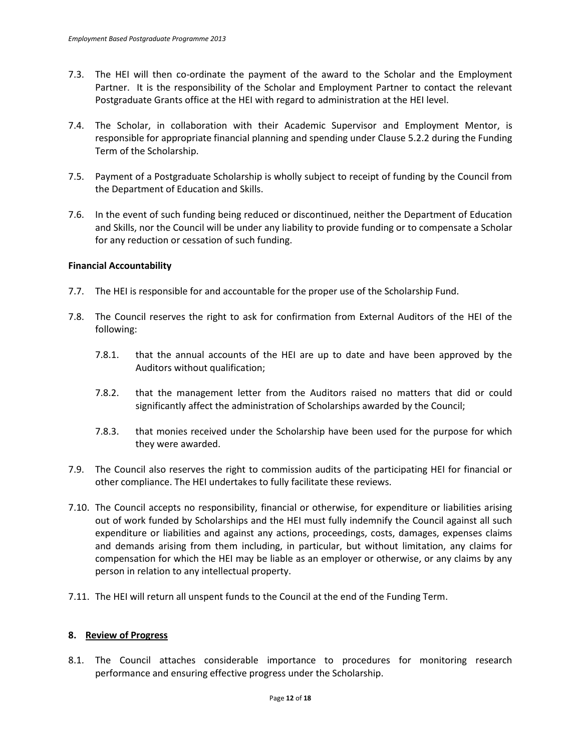- 7.3. The HEI will then co-ordinate the payment of the award to the Scholar and the Employment Partner. It is the responsibility of the Scholar and Employment Partner to contact the relevant Postgraduate Grants office at the HEI with regard to administration at the HEI level.
- 7.4. The Scholar, in collaboration with their Academic Supervisor and Employment Mentor, is responsible for appropriate financial planning and spending under Clause 5.2.2 during the Funding Term of the Scholarship.
- 7.5. Payment of a Postgraduate Scholarship is wholly subject to receipt of funding by the Council from the Department of Education and Skills.
- 7.6. In the event of such funding being reduced or discontinued, neither the Department of Education and Skills, nor the Council will be under any liability to provide funding or to compensate a Scholar for any reduction or cessation of such funding.

### **Financial Accountability**

- 7.7. The HEI is responsible for and accountable for the proper use of the Scholarship Fund.
- 7.8. The Council reserves the right to ask for confirmation from External Auditors of the HEI of the following:
	- 7.8.1. that the annual accounts of the HEI are up to date and have been approved by the Auditors without qualification;
	- 7.8.2. that the management letter from the Auditors raised no matters that did or could significantly affect the administration of Scholarships awarded by the Council;
	- 7.8.3. that monies received under the Scholarship have been used for the purpose for which they were awarded.
- 7.9. The Council also reserves the right to commission audits of the participating HEI for financial or other compliance. The HEI undertakes to fully facilitate these reviews.
- 7.10. The Council accepts no responsibility, financial or otherwise, for expenditure or liabilities arising out of work funded by Scholarships and the HEI must fully indemnify the Council against all such expenditure or liabilities and against any actions, proceedings, costs, damages, expenses claims and demands arising from them including, in particular, but without limitation, any claims for compensation for which the HEI may be liable as an employer or otherwise, or any claims by any person in relation to any intellectual property.
- 7.11. The HEI will return all unspent funds to the Council at the end of the Funding Term.

### **8. Review of Progress**

8.1. The Council attaches considerable importance to procedures for monitoring research performance and ensuring effective progress under the Scholarship.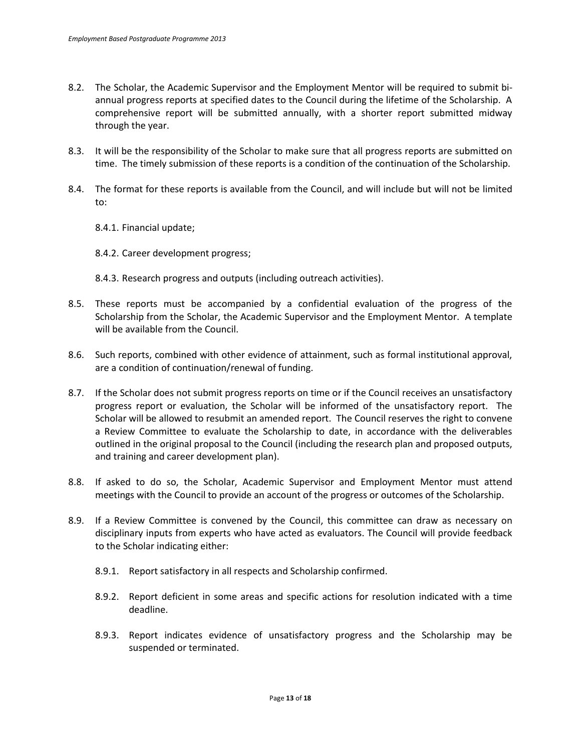- 8.2. The Scholar, the Academic Supervisor and the Employment Mentor will be required to submit biannual progress reports at specified dates to the Council during the lifetime of the Scholarship. A comprehensive report will be submitted annually, with a shorter report submitted midway through the year.
- 8.3. It will be the responsibility of the Scholar to make sure that all progress reports are submitted on time. The timely submission of these reports is a condition of the continuation of the Scholarship.
- 8.4. The format for these reports is available from the Council, and will include but will not be limited to:
	- 8.4.1. Financial update;
	- 8.4.2. Career development progress;
	- 8.4.3. Research progress and outputs (including outreach activities).
- 8.5. These reports must be accompanied by a confidential evaluation of the progress of the Scholarship from the Scholar, the Academic Supervisor and the Employment Mentor. A template will be available from the Council.
- 8.6. Such reports, combined with other evidence of attainment, such as formal institutional approval, are a condition of continuation/renewal of funding.
- 8.7. If the Scholar does not submit progress reports on time or if the Council receives an unsatisfactory progress report or evaluation, the Scholar will be informed of the unsatisfactory report. The Scholar will be allowed to resubmit an amended report. The Council reserves the right to convene a Review Committee to evaluate the Scholarship to date, in accordance with the deliverables outlined in the original proposal to the Council (including the research plan and proposed outputs, and training and career development plan).
- 8.8. If asked to do so, the Scholar, Academic Supervisor and Employment Mentor must attend meetings with the Council to provide an account of the progress or outcomes of the Scholarship.
- 8.9. If a Review Committee is convened by the Council, this committee can draw as necessary on disciplinary inputs from experts who have acted as evaluators. The Council will provide feedback to the Scholar indicating either:
	- 8.9.1. Report satisfactory in all respects and Scholarship confirmed.
	- 8.9.2. Report deficient in some areas and specific actions for resolution indicated with a time deadline.
	- 8.9.3. Report indicates evidence of unsatisfactory progress and the Scholarship may be suspended or terminated.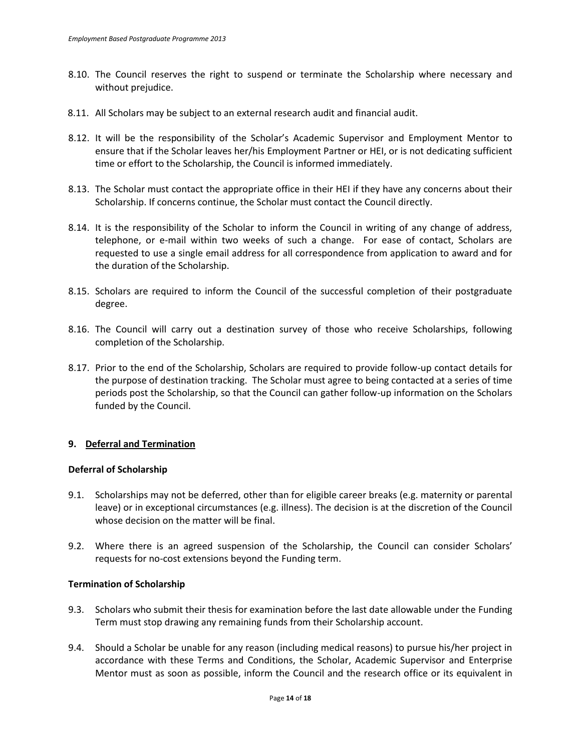- 8.10. The Council reserves the right to suspend or terminate the Scholarship where necessary and without prejudice.
- 8.11. All Scholars may be subject to an external research audit and financial audit.
- 8.12. It will be the responsibility of the Scholar's Academic Supervisor and Employment Mentor to ensure that if the Scholar leaves her/his Employment Partner or HEI, or is not dedicating sufficient time or effort to the Scholarship, the Council is informed immediately.
- 8.13. The Scholar must contact the appropriate office in their HEI if they have any concerns about their Scholarship. If concerns continue, the Scholar must contact the Council directly.
- 8.14. It is the responsibility of the Scholar to inform the Council in writing of any change of address, telephone, or e-mail within two weeks of such a change. For ease of contact, Scholars are requested to use a single email address for all correspondence from application to award and for the duration of the Scholarship.
- 8.15. Scholars are required to inform the Council of the successful completion of their postgraduate degree.
- 8.16. The Council will carry out a destination survey of those who receive Scholarships, following completion of the Scholarship.
- 8.17. Prior to the end of the Scholarship, Scholars are required to provide follow-up contact details for the purpose of destination tracking. The Scholar must agree to being contacted at a series of time periods post the Scholarship, so that the Council can gather follow-up information on the Scholars funded by the Council.

## **9. Deferral and Termination**

### **Deferral of Scholarship**

- 9.1. Scholarships may not be deferred, other than for eligible career breaks (e.g. maternity or parental leave) or in exceptional circumstances (e.g. illness). The decision is at the discretion of the Council whose decision on the matter will be final.
- 9.2. Where there is an agreed suspension of the Scholarship, the Council can consider Scholars' requests for no-cost extensions beyond the Funding term.

## **Termination of Scholarship**

- 9.3. Scholars who submit their thesis for examination before the last date allowable under the Funding Term must stop drawing any remaining funds from their Scholarship account.
- 9.4. Should a Scholar be unable for any reason (including medical reasons) to pursue his/her project in accordance with these Terms and Conditions, the Scholar, Academic Supervisor and Enterprise Mentor must as soon as possible, inform the Council and the research office or its equivalent in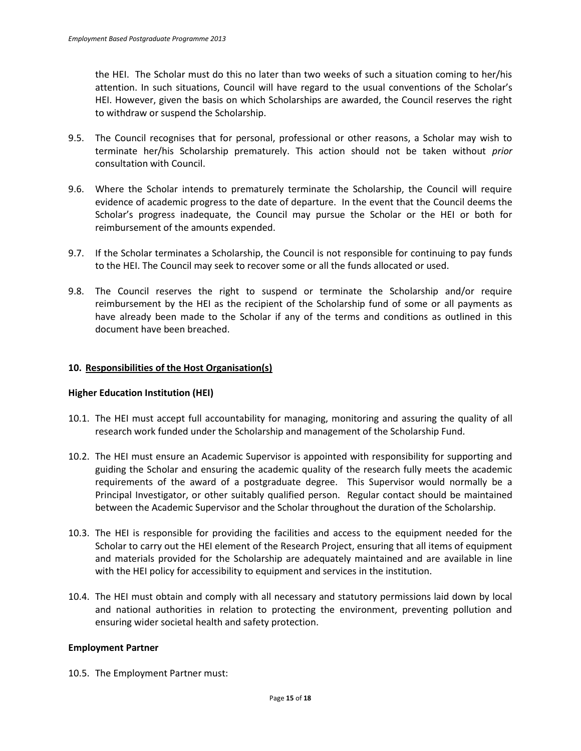the HEI. The Scholar must do this no later than two weeks of such a situation coming to her/his attention. In such situations, Council will have regard to the usual conventions of the Scholar's HEI. However, given the basis on which Scholarships are awarded, the Council reserves the right to withdraw or suspend the Scholarship.

- 9.5. The Council recognises that for personal, professional or other reasons, a Scholar may wish to terminate her/his Scholarship prematurely. This action should not be taken without *prior* consultation with Council.
- 9.6. Where the Scholar intends to prematurely terminate the Scholarship, the Council will require evidence of academic progress to the date of departure. In the event that the Council deems the Scholar's progress inadequate, the Council may pursue the Scholar or the HEI or both for reimbursement of the amounts expended.
- 9.7. If the Scholar terminates a Scholarship, the Council is not responsible for continuing to pay funds to the HEI. The Council may seek to recover some or all the funds allocated or used.
- 9.8. The Council reserves the right to suspend or terminate the Scholarship and/or require reimbursement by the HEI as the recipient of the Scholarship fund of some or all payments as have already been made to the Scholar if any of the terms and conditions as outlined in this document have been breached.

### **10. Responsibilities of the Host Organisation(s)**

### **Higher Education Institution (HEI)**

- 10.1. The HEI must accept full accountability for managing, monitoring and assuring the quality of all research work funded under the Scholarship and management of the Scholarship Fund.
- 10.2. The HEI must ensure an Academic Supervisor is appointed with responsibility for supporting and guiding the Scholar and ensuring the academic quality of the research fully meets the academic requirements of the award of a postgraduate degree.This Supervisor would normally be a Principal Investigator, or other suitably qualified person. Regular contact should be maintained between the Academic Supervisor and the Scholar throughout the duration of the Scholarship.
- 10.3. The HEI is responsible for providing the facilities and access to the equipment needed for the Scholar to carry out the HEI element of the Research Project, ensuring that all items of equipment and materials provided for the Scholarship are adequately maintained and are available in line with the HEI policy for accessibility to equipment and services in the institution.
- 10.4. The HEI must obtain and comply with all necessary and statutory permissions laid down by local and national authorities in relation to protecting the environment, preventing pollution and ensuring wider societal health and safety protection.

### **Employment Partner**

10.5. The Employment Partner must: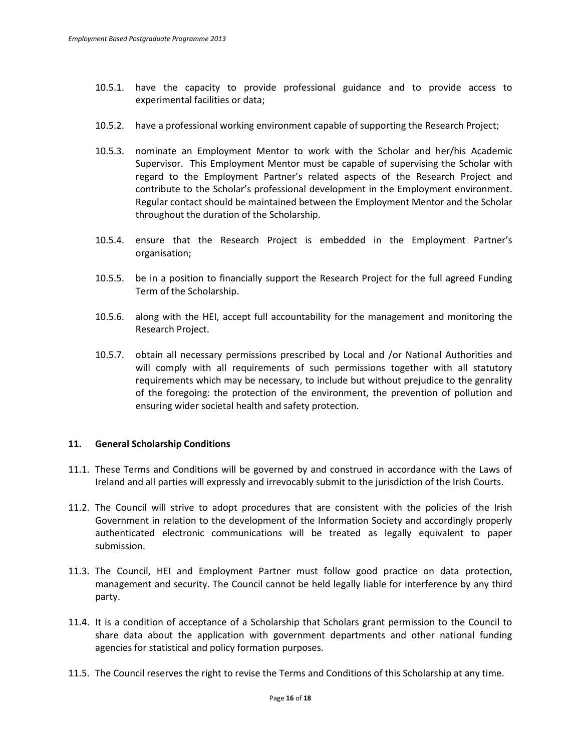- 10.5.1. have the capacity to provide professional guidance and to provide access to experimental facilities or data;
- 10.5.2. have a professional working environment capable of supporting the Research Project;
- 10.5.3. nominate an Employment Mentor to work with the Scholar and her/his Academic Supervisor. This Employment Mentor must be capable of supervising the Scholar with regard to the Employment Partner's related aspects of the Research Project and contribute to the Scholar's professional development in the Employment environment. Regular contact should be maintained between the Employment Mentor and the Scholar throughout the duration of the Scholarship.
- 10.5.4. ensure that the Research Project is embedded in the Employment Partner's organisation;
- 10.5.5. be in a position to financially support the Research Project for the full agreed Funding Term of the Scholarship.
- 10.5.6. along with the HEI, accept full accountability for the management and monitoring the Research Project.
- 10.5.7. obtain all necessary permissions prescribed by Local and /or National Authorities and will comply with all requirements of such permissions together with all statutory requirements which may be necessary, to include but without prejudice to the genrality of the foregoing: the protection of the environment, the prevention of pollution and ensuring wider societal health and safety protection.

## **11. General Scholarship Conditions**

- 11.1. These Terms and Conditions will be governed by and construed in accordance with the Laws of Ireland and all parties will expressly and irrevocably submit to the jurisdiction of the Irish Courts.
- 11.2. The Council will strive to adopt procedures that are consistent with the policies of the Irish Government in relation to the development of the Information Society and accordingly properly authenticated electronic communications will be treated as legally equivalent to paper submission.
- 11.3. The Council, HEI and Employment Partner must follow good practice on data protection, management and security. The Council cannot be held legally liable for interference by any third party.
- 11.4. It is a condition of acceptance of a Scholarship that Scholars grant permission to the Council to share data about the application with government departments and other national funding agencies for statistical and policy formation purposes.
- 11.5. The Council reserves the right to revise the Terms and Conditions of this Scholarship at any time.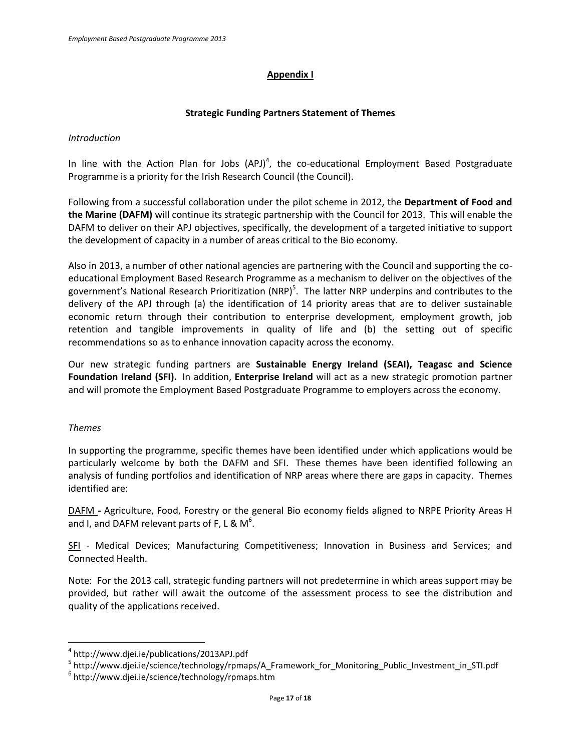# **Appendix I**

## **Strategic Funding Partners Statement of Themes**

## *Introduction*

In line with the Action Plan for Jobs  $(API)^4$ , the co-educational Employment Based Postgraduate Programme is a priority for the Irish Research Council (the Council).

Following from a successful collaboration under the pilot scheme in 2012, the **Department of Food and the Marine (DAFM)** will continue its strategic partnership with the Council for 2013. This will enable the DAFM to deliver on their APJ objectives, specifically, the development of a targeted initiative to support the development of capacity in a number of areas critical to the Bio economy.

Also in 2013, a number of other national agencies are partnering with the Council and supporting the coeducational Employment Based Research Programme as a mechanism to deliver on the objectives of the government's National Research Prioritization (NRP)<sup>5</sup>. The latter NRP underpins and contributes to the delivery of the APJ through (a) the identification of 14 priority areas that are to deliver sustainable economic return through their contribution to enterprise development, employment growth, job retention and tangible improvements in quality of life and (b) the setting out of specific recommendations so as to enhance innovation capacity across the economy.

Our new strategic funding partners are **Sustainable Energy Ireland (SEAI), Teagasc and Science Foundation Ireland (SFI).** In addition, **Enterprise Ireland** will act as a new strategic promotion partner and will promote the Employment Based Postgraduate Programme to employers across the economy.

## *Themes*

 $\overline{a}$ 

In supporting the programme, specific themes have been identified under which applications would be particularly welcome by both the DAFM and SFI. These themes have been identified following an analysis of funding portfolios and identification of NRP areas where there are gaps in capacity. Themes identified are:

DAFM **-** Agriculture, Food, Forestry or the general Bio economy fields aligned to NRPE Priority Areas H and I, and DAFM relevant parts of F, L & M<sup>6</sup>.

SFI - Medical Devices; Manufacturing Competitiveness; Innovation in Business and Services; and Connected Health.

Note: For the 2013 call, strategic funding partners will not predetermine in which areas support may be provided, but rather will await the outcome of the assessment process to see the distribution and quality of the applications received.

<sup>4</sup> http://www.djei.ie/publications/2013APJ.pdf

<sup>&</sup>lt;sup>5</sup> http://www.djei.ie/science/technology/rpmaps/A\_Framework\_for\_Monitoring\_Public\_Investment\_in\_STI.pdf

 $^6$  <http://www.djei.ie/science/technology/rpmaps.htm>